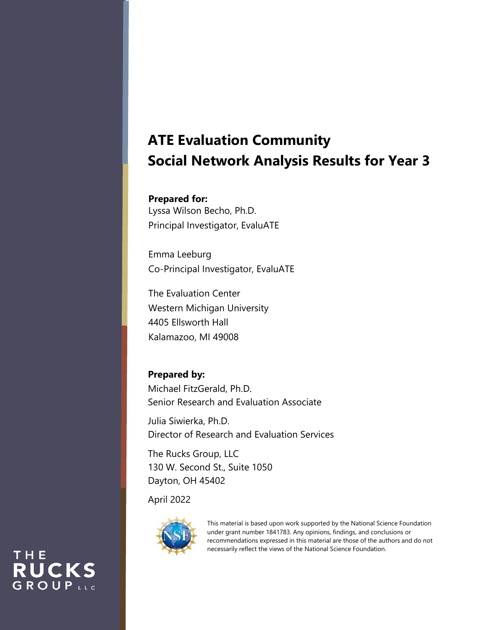# **ATE Evaluation Community Social Network Analysis Results for Year 3**

## **Prepared for:**

Lyssa Wilson Becho, Ph.D. Principal Investigator, EvaluATE

Emma Leeburg Co-Principal Investigator, EvaluATE

The Evaluation Center Western Michigan University 4405 Ellsworth Hall Kalamazoo, MI 49008

# **Prepared by:**

Michael FitzGerald, Ph.D. Senior Research and Evaluation Associate

Julia Siwierka, Ph.D. Director of Research and Evaluation Services

The Rucks Group, LLC 130 W. Second St., Suite 1050 Dayton, OH 45402

April 2022

THE

**RUCKS** GROUPLLC



This material is based upon work supported by the National Science Foundation under grant number 1841783. Any opinions, findings, and conclusions or recommendations expressed in this material are those of the authors and do not necessarily reflect the views of the National Science Foundation.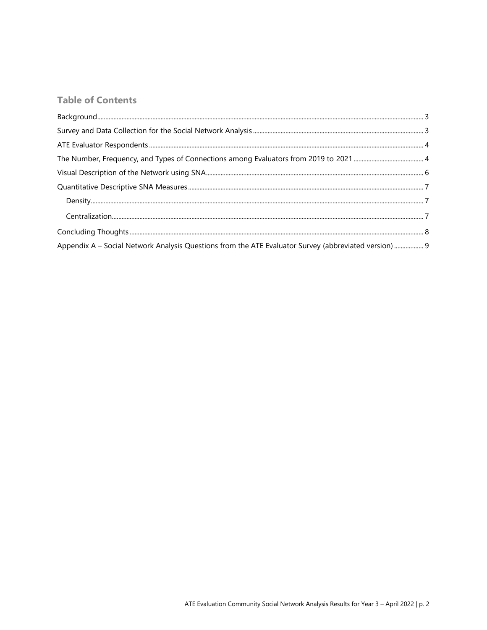# **Table of Contents**

| Appendix A - Social Network Analysis Questions from the ATE Evaluator Survey (abbreviated version)  9 |  |
|-------------------------------------------------------------------------------------------------------|--|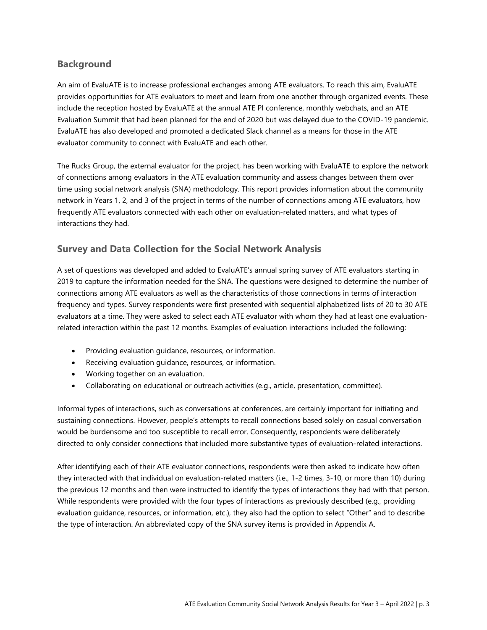## <span id="page-2-0"></span>**Background**

An aim of EvaluATE is to increase professional exchanges among ATE evaluators. To reach this aim, EvaluATE provides opportunities for ATE evaluators to meet and learn from one another through organized events. These include the reception hosted by EvaluATE at the annual ATE PI conference, monthly webchats, and an ATE Evaluation Summit that had been planned for the end of 2020 but was delayed due to the COVID-19 pandemic. EvaluATE has also developed and promoted a dedicated Slack channel as a means for those in the ATE evaluator community to connect with EvaluATE and each other.

The Rucks Group, the external evaluator for the project, has been working with EvaluATE to explore the network of connections among evaluators in the ATE evaluation community and assess changes between them over time using social network analysis (SNA) methodology. This report provides information about the community network in Years 1, 2, and 3 of the project in terms of the number of connections among ATE evaluators, how frequently ATE evaluators connected with each other on evaluation-related matters, and what types of interactions they had.

## <span id="page-2-1"></span>**Survey and Data Collection for the Social Network Analysis**

A set of questions was developed and added to EvaluATE's annual spring survey of ATE evaluators starting in 2019 to capture the information needed for the SNA. The questions were designed to determine the number of connections among ATE evaluators as well as the characteristics of those connections in terms of interaction frequency and types. Survey respondents were first presented with sequential alphabetized lists of 20 to 30 ATE evaluators at a time. They were asked to select each ATE evaluator with whom they had at least one evaluationrelated interaction within the past 12 months. Examples of evaluation interactions included the following:

- Providing evaluation guidance, resources, or information.
- Receiving evaluation guidance, resources, or information.
- Working together on an evaluation.
- Collaborating on educational or outreach activities (e.g., article, presentation, committee).

Informal types of interactions, such as conversations at conferences, are certainly important for initiating and sustaining connections. However, people's attempts to recall connections based solely on casual conversation would be burdensome and too susceptible to recall error. Consequently, respondents were deliberately directed to only consider connections that included more substantive types of evaluation-related interactions.

<span id="page-2-2"></span>After identifying each of their ATE evaluator connections, respondents were then asked to indicate how often they interacted with that individual on evaluation-related matters (i.e., 1-2 times, 3-10, or more than 10) during the previous 12 months and then were instructed to identify the types of interactions they had with that person. While respondents were provided with the four types of interactions as previously described (e.g., providing evaluation guidance, resources, or information, etc.), they also had the option to select "Other" and to describe the type of interaction. An abbreviated copy of the SNA survey items is provided in Appendix A.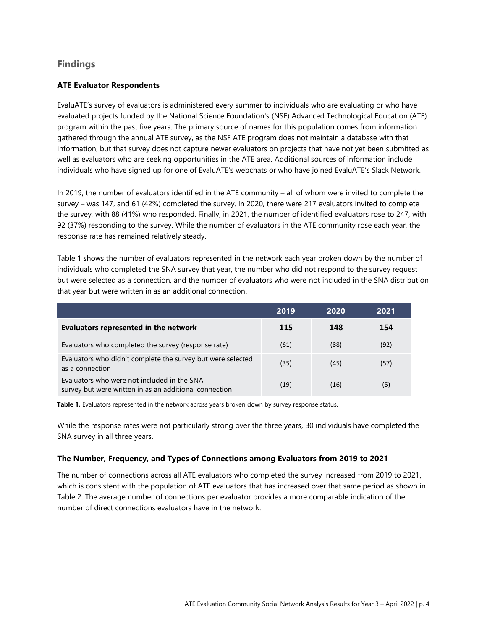### **Findings**

#### **ATE Evaluator Respondents**

EvaluATE's survey of evaluators is administered every summer to individuals who are evaluating or who have evaluated projects funded by the National Science Foundation's (NSF) Advanced Technological Education (ATE) program within the past five years. The primary source of names for this population comes from information gathered through the annual ATE survey, as the NSF ATE program does not maintain a database with that information, but that survey does not capture newer evaluators on projects that have not yet been submitted as well as evaluators who are seeking opportunities in the ATE area. Additional sources of information include individuals who have signed up for one of EvaluATE's webchats or who have joined EvaluATE's Slack Network.

In 2019, the number of evaluators identified in the ATE community – all of whom were invited to complete the survey – was 147, and 61 (42%) completed the survey. In 2020, there were 217 evaluators invited to complete the survey, with 88 (41%) who responded. Finally, in 2021, the number of identified evaluators rose to 247, with 92 (37%) responding to the survey. While the number of evaluators in the ATE community rose each year, the response rate has remained relatively steady.

Table 1 shows the number of evaluators represented in the network each year broken down by the number of individuals who completed the SNA survey that year, the number who did not respond to the survey request but were selected as a connection, and the number of evaluators who were not included in the SNA distribution that year but were written in as an additional connection.

|                                                                                                       | 2019 | 2020 | 2021 |
|-------------------------------------------------------------------------------------------------------|------|------|------|
| Evaluators represented in the network                                                                 | 115  | 148  | 154  |
| Evaluators who completed the survey (response rate)                                                   | (61) | (88) | (92) |
| Evaluators who didn't complete the survey but were selected<br>as a connection                        | (35) | (45) | (57) |
| Evaluators who were not included in the SNA<br>survey but were written in as an additional connection | (19) | (16) | (5)  |

**Table 1.** Evaluators represented in the network across years broken down by survey response status.

While the response rates were not particularly strong over the three years, 30 individuals have completed the SNA survey in all three years.

#### <span id="page-3-0"></span>**The Number, Frequency, and Types of Connections among Evaluators from 2019 to 2021**

The number of connections across all ATE evaluators who completed the survey increased from 2019 to 2021, which is consistent with the population of ATE evaluators that has increased over that same period as shown in Table 2. The average number of connections per evaluator provides a more comparable indication of the number of direct connections evaluators have in the network.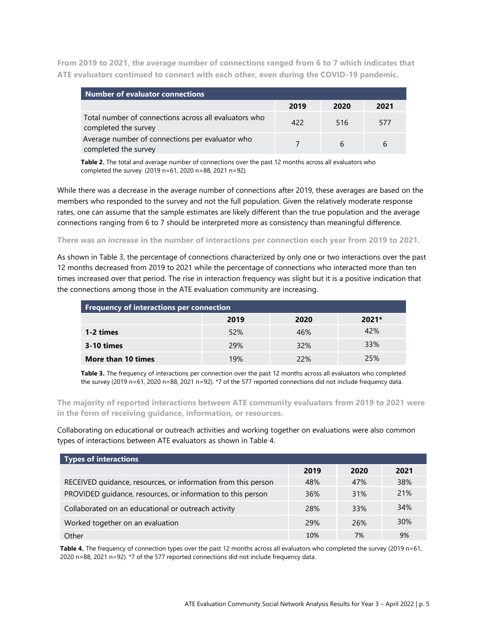**From 2019 to 2021, the average number of connections ranged from 6 to 7 which indicates that ATE evaluators continued to connect with each other, even during the COVID-19 pandemic.** 

| <b>Number of evaluator connections</b>                                        |      |      |      |  |
|-------------------------------------------------------------------------------|------|------|------|--|
|                                                                               | 2019 | 2020 | 2021 |  |
| Total number of connections across all evaluators who<br>completed the survey | 422  | 516  | 577  |  |
| Average number of connections per evaluator who<br>completed the survey       |      |      | b    |  |

**Table 2.** The total and average number of connections over the past 12 months across all evaluators who completed the survey. (2019 n=61, 2020 n=88, 2021 n=92).

While there was a decrease in the average number of connections after 2019, these averages are based on the members who responded to the survey and not the full population. Given the relatively moderate response rates, one can assume that the sample estimates are likely different than the true population and the average connections ranging from 6 to 7 should be interpreted more as consistency than meaningful difference.

#### **There was an increase in the number of interactions per connection each year from 2019 to 2021.**

As shown in Table 3, the percentage of connections characterized by only one or two interactions over the past 12 months decreased from 2019 to 2021 while the percentage of connections who interacted more than ten times increased over that period. The rise in interaction frequency was slight but it is a positive indication that the connections among those in the ATE evaluation community are increasing.

| <b>Frequency of interactions per connection</b> |      |      |         |  |
|-------------------------------------------------|------|------|---------|--|
|                                                 | 2019 | 2020 | $2021*$ |  |
| 1-2 times                                       | 52%  | 46%  | 42%     |  |
| <b>3-10 times</b>                               | 29%  | 32%  | 33%     |  |
| More than 10 times                              | 19%  | 22%  | 25%     |  |

**Table 3.** The frequency of interactions per connection over the past 12 months across all evaluators who completed the survey (2019 n=61, 2020 n=88, 2021 n=92). \*7 of the 577 reported connections did not include frequency data.

**The majority of reported interactions between ATE community evaluators from 2019 to 2021 were in the form of receiving guidance, information, or resources.** 

Collaborating on educational or outreach activities and working together on evaluations were also common types of interactions between ATE evaluators as shown in Table 4.

| Types of interactions                                         |            |      |            |  |  |
|---------------------------------------------------------------|------------|------|------------|--|--|
|                                                               | 2019       | 2020 | 2021       |  |  |
| RECEIVED quidance, resources, or information from this person | 48%        | 47%  | 38%        |  |  |
| PROVIDED guidance, resources, or information to this person   | <b>36%</b> | 31%  | 21%        |  |  |
| Collaborated on an educational or outreach activity           | 28%        | 33%  | 34%        |  |  |
| Worked together on an evaluation                              | 29%        | 26%  | <b>30%</b> |  |  |
| Other                                                         | 10%        | 7%   | 9%         |  |  |

Table 4. The frequency of connection types over the past 12 months across all evaluators who completed the survey (2019 n=61, 2020 n=88, 2021 n=92). \*7 of the 577 reported connections did not include frequency data.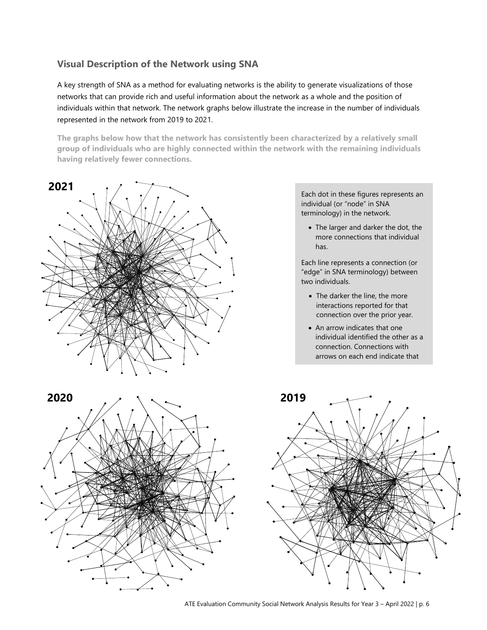## <span id="page-5-0"></span>**Visual Description of the Network using SNA**

A key strength of SNA as a method for evaluating networks is the ability to generate visualizations of those networks that can provide rich and useful information about the network as a whole and the position of individuals within that network. The network graphs below illustrate the increase in the number of individuals represented in the network from 2019 to 2021.

**The graphs below how that the network has consistently been characterized by a relatively small group of individuals who are highly connected within the network with the remaining individuals having relatively fewer connections.** 



Each dot in these figures represents an individual (or "node" in SNA terminology) in the network.

• The larger and darker the dot, the more connections that individual has.

Each line represents a connection (or "edge" in SNA terminology) between two individuals.

- The darker the line, the more interactions reported for that connection over the prior year.
- An arrow indicates that one individual identified the other as a connection. Connections with arrows on each end indicate that

each had identified the other as a



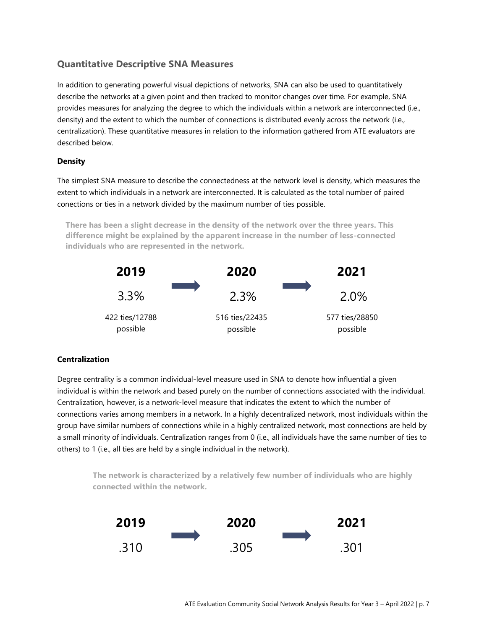## <span id="page-6-0"></span>**Quantitative Descriptive SNA Measures**

In addition to generating powerful visual depictions of networks, SNA can also be used to quantitatively describe the networks at a given point and then tracked to monitor changes over time. For example, SNA provides measures for analyzing the degree to which the individuals within a network are interconnected (i.e., density) and the extent to which the number of connections is distributed evenly across the network (i.e., centralization). These quantitative measures in relation to the information gathered from ATE evaluators are described below.

#### <span id="page-6-1"></span>**Density**

The simplest SNA measure to describe the connectedness at the network level is density, which measures the extent to which individuals in a network are interconnected. It is calculated as the total number of paired conections or ties in a network divided by the maximum number of ties possible.

**There has been a slight decrease in the density of the network over the three years. This difference might be explained by the apparent increase in the number of less-connected individuals who are represented in the network.**



#### <span id="page-6-2"></span>**Centralization**

Degree centrality is a common individual-level measure used in SNA to denote how influential a given individual is within the network and based purely on the number of connections associated with the individual. Centralization, however, is a network-level measure that indicates the extent to which the number of connections varies among members in a network. In a highly decentralized network, most individuals within the group have similar numbers of connections while in a highly centralized network, most connections are held by a small minority of individuals. Centralization ranges from 0 (i.e., all individuals have the same number of ties to others) to 1 (i.e., all ties are held by a single individual in the network).

**The network is characterized by a relatively few number of individuals who are highly connected within the network.**

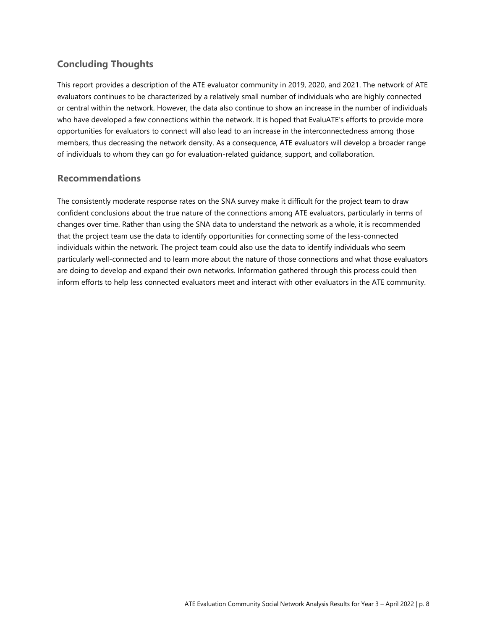## <span id="page-7-0"></span>**Concluding Thoughts**

This report provides a description of the ATE evaluator community in 2019, 2020, and 2021. The network of ATE evaluators continues to be characterized by a relatively small number of individuals who are highly connected or central within the network. However, the data also continue to show an increase in the number of individuals who have developed a few connections within the network. It is hoped that EvaluATE's efforts to provide more opportunities for evaluators to connect will also lead to an increase in the interconnectedness among those members, thus decreasing the network density. As a consequence, ATE evaluators will develop a broader range of individuals to whom they can go for evaluation-related guidance, support, and collaboration.

### **Recommendations**

The consistently moderate response rates on the SNA survey make it difficult for the project team to draw confident conclusions about the true nature of the connections among ATE evaluators, particularly in terms of changes over time. Rather than using the SNA data to understand the network as a whole, it is recommended that the project team use the data to identify opportunities for connecting some of the less-connected individuals within the network. The project team could also use the data to identify individuals who seem particularly well-connected and to learn more about the nature of those connections and what those evaluators are doing to develop and expand their own networks. Information gathered through this process could then inform efforts to help less connected evaluators meet and interact with other evaluators in the ATE community.